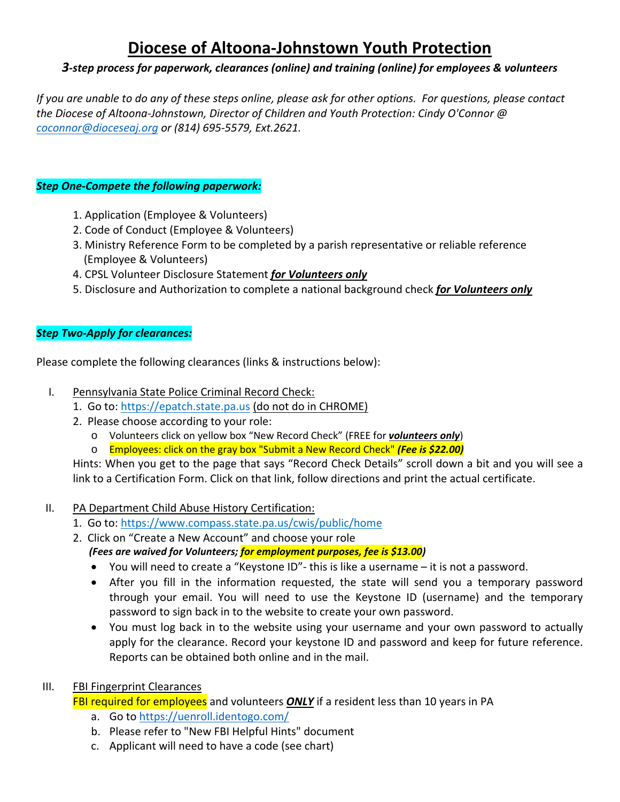# **Diocese of Altoona‐Johnstown Youth Protection**

# *3‐step process for paperwork, clearances (online) and training (online) for employees & volunteers*

If you are unable to do any of these steps online, please ask for other options. For questions, please contact *the Diocese of Altoona‐Johnstown, Director of Children and Youth Protection: Cindy O'Connor @ coconnor@dioceseaj.org or (814) 695‐5579, Ext.2621.*

### *Step One‐Compete the following paperwork:*

- 1. Application (Employee & Volunteers)
- 2. Code of Conduct (Employee & Volunteers)
- 3. Ministry Reference Form to be completed by a parish representative or reliable reference (Employee & Volunteers)
- 4. CPSL Volunteer Disclosure Statement *for Volunteers only*
- 5. Disclosure and Authorization to complete a national background check *for Volunteers only*

#### *Step Two‐Apply for clearances:*

Please complete the following clearances (links & instructions below):

- I. Pennsylvania State Police Criminal Record Check:
	- 1. Go to: https://epatch.state.pa.us (do not do in CHROME)
	- 2. Please choose according to your role:
		- o Volunteers click on yellow box "New Record Check" (FREE for *volunteers only*)
		- o Employees: click on the gray box "Submit a New Record Check" *(Fee is \$22.00)*

Hints: When you get to the page that says "Record Check Details" scroll down a bit and you will see a link to a Certification Form. Click on that link, follow directions and print the actual certificate.

# II. PA Department Child Abuse History Certification:

- 1. Go to: https://www.compass.state.pa.us/cwis/public/home
- 2. Click on "Create a New Account" and choose your role
	- *(Fees are waived for Volunteers; for employment purposes, fee is \$13.00)*
	- You will need to create a "Keystone ID"‐ this is like a username it is not a password.
	- After you fill in the information requested, the state will send you a temporary password through your email. You will need to use the Keystone ID (username) and the temporary password to sign back in to the website to create your own password.
	- You must log back in to the website using your username and your own password to actually apply for the clearance. Record your keystone ID and password and keep for future reference. Reports can be obtained both online and in the mail.

# III. FBI Fingerprint Clearances

FBI required for employees and volunteers *ONLY* if a resident less than 10 years in PA

- a. Go to https://uenroll.identogo.com/
- b. Please refer to "New FBI Helpful Hints" document
- c. Applicant will need to have a code (see chart)